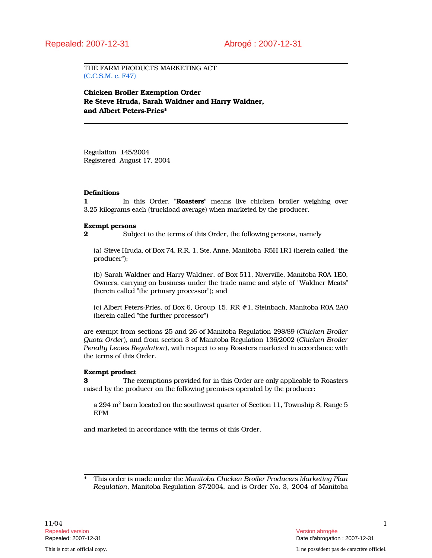THE FARM PRODUCTS MARKETING ACT (C.C.S.M. c. F47)

Chicken Broiler Exemption Order Re Steve Hruda, Sarah Waldner and Harry Waldner, and Albert Peters-Pries\*

Regulation 145/2004 Registered August 17, 2004

# **Definitions**

1 In this Order, "Roasters" means live chicken broiler weighing over 3.25 kilograms each (truckload average) when marketed by the producer.

#### Exempt persons

2 Subject to the terms of this Order, the following persons, namely

(a) Steve Hruda, of Box 74, R.R. 1, Ste. Anne, Manitoba R5H 1R1 (herein called "the producer");

(b) Sarah Waldner and Harry Waldner, of Box 511, Niverville, Manitoba R0A 1E0, Owners, carrying on business under the trade name and style of "Waldner Meats" (herein called "the primary processor"); and

(c) Albert Peters-Pries, of Box 6, Group 15, RR #1, Steinbach, Manitoba R0A 2A0 (herein called "the further processor")

are exempt from sections 25 and 26 of Manitoba Regulation 298/89 (Chicken Broiler Quota Order), and from section 3 of Manitoba Regulation 136/2002 (Chicken Broiler Penalty Levies Regulation), with respect to any Roasters marketed in accordance with the terms of this Order.

# Exempt product

3 The exemptions provided for in this Order are only applicable to Roasters raised by the producer on the following premises operated by the producer:

a 294  $\mathrm{m}^2$  barn located on the southwest quarter of Section 11, Township 8, Range 5 EPM

and marketed in accordance with the terms of this Order.

This order is made under the Manitoba Chicken Broiler Producers Marketing Plan Regulation, Manitoba Regulation 37/2004, and is Order No. 3, 2004 of Manitoba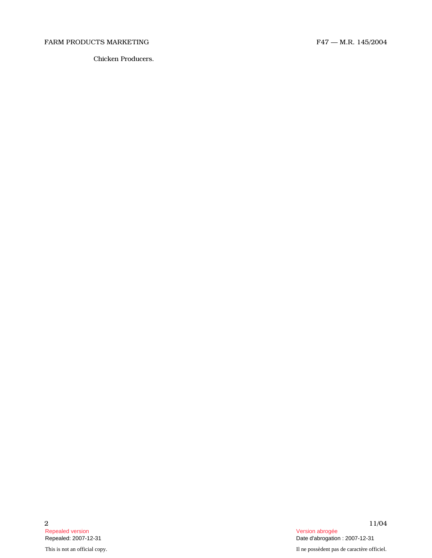# FARM PRODUCTS MARKETING FARM PRODUCTS ARRESTING

Chicken Producers.

Repealed version abrogée en active d'active d'active d'active d'active d'active d'active d'active d'active d'a<br>Repealed: 2007-12-31 d'active d'active d'active d'active d'active d'active d'active d'active d'active d'active

This is not an official copy. Il ne possèdent pas de caractère officiel.

2  $11/04$ Date d'abrogation : 2007-12-31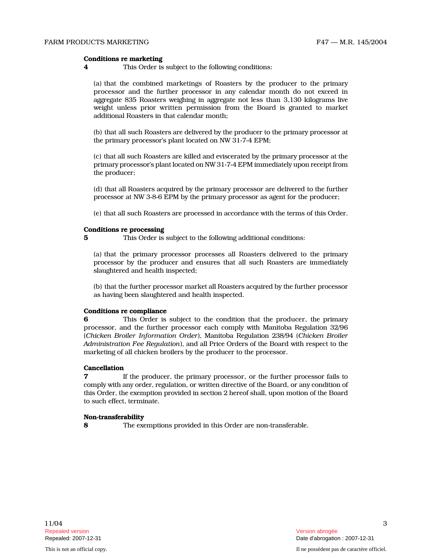# Conditions re marketing

4 This Order is subject to the following conditions:

(a) that the combined marketings of Roasters by the producer to the primary processor and the further processor in any calendar month do not exceed in aggregate 835 Roasters weighing in aggregate not less than 3,130 kilograms live weight unless prior written permission from the Board is granted to market additional Roasters in that calendar month;

(b) that all such Roasters are delivered by the producer to the primary processor at the primary processor's plant located on NW 31-7-4 EPM;

(c) that all such Roasters are killed and eviscerated by the primary processor at the primary processor's plant located on NW 31-7-4 EPM immediately upon receipt from the producer;

(d) that all Roasters acquired by the primary processor are delivered to the further processor at NW 3-8-6 EPM by the primary processor as agent for the producer;

(e) that all such Roasters are processed in accordance with the terms of this Order.

#### Conditions re processing

5 This Order is subject to the following additional conditions:

(a) that the primary processor processes all Roasters delivered to the primary processor by the producer and ensures that all such Roasters are immediately slaughtered and health inspected;

(b) that the further processor market all Roasters acquired by the further processor as having been slaughtered and health inspected.

# Conditions re compliance

6 This Order is subject to the condition that the producer, the primary processor, and the further processor each comply with Manitoba Regulation 32/96 (Chicken Broiler Information Order), Manitoba Regulation 238/94 (Chicken Broiler Administration Fee Regulation), and all Price Orders of the Board with respect to the marketing of all chicken broilers by the producer to the processor.

# Cancellation

7 If the producer, the primary processor, or the further processor fails to comply with any order, regulation, or written directive of the Board, or any condition of this Order, the exemption provided in section 2 hereof shall, upon motion of the Board to such effect, terminate.

# Non-transferability

8 The exemptions provided in this Order are non-transferable.